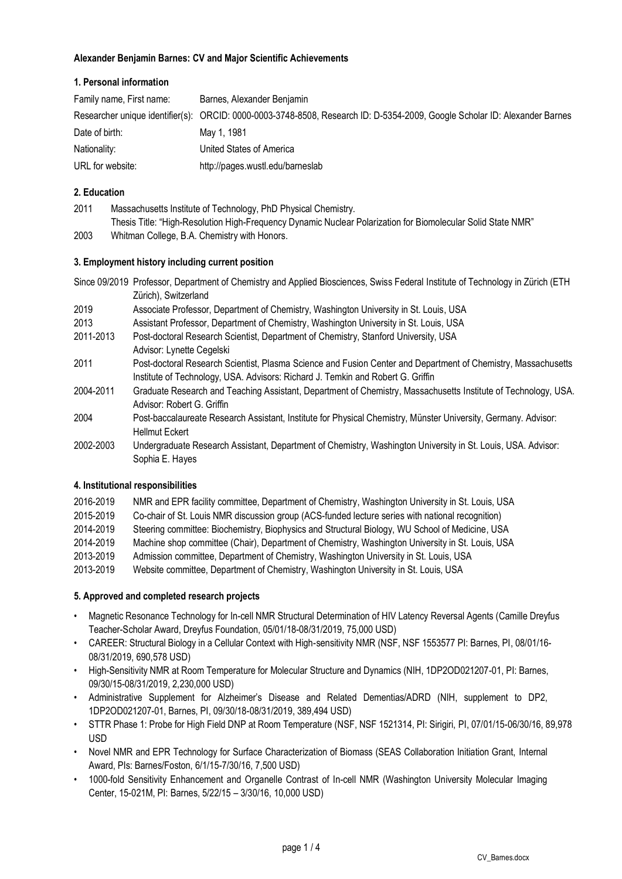# **Alexander Benjamin Barnes: CV and Major Scientific Achievements**

# **1. Personal information**

| Family name, First name: | Barnes, Alexander Benjamin                                                                                                 |
|--------------------------|----------------------------------------------------------------------------------------------------------------------------|
|                          | Researcher unique identifier(s): ORCID: 0000-0003-3748-8508, Research ID: D-5354-2009, Google Scholar ID: Alexander Barnes |
| Date of birth:           | May 1, 1981                                                                                                                |
| Nationality:             | United States of America                                                                                                   |
| URL for website:         | http://pages.wustl.edu/barneslab                                                                                           |

# **2. Education**

| 2011 | Massachusetts Institute of Technology, PhD Physical Chemistry.                                               |
|------|--------------------------------------------------------------------------------------------------------------|
|      | Thesis Title: "High-Resolution High-Frequency Dynamic Nuclear Polarization for Biomolecular Solid State NMR" |
| 2003 | Whitman College, B.A. Chemistry with Honors.                                                                 |

# **3. Employment history including current position**

|           | Since 09/2019 Professor, Department of Chemistry and Applied Biosciences, Swiss Federal Institute of Technology in Zürich (ETH |
|-----------|--------------------------------------------------------------------------------------------------------------------------------|
|           | Zürich), Switzerland                                                                                                           |
| 2019      | Associate Professor, Department of Chemistry, Washington University in St. Louis, USA                                          |
| 2013      | Assistant Professor, Department of Chemistry, Washington University in St. Louis, USA                                          |
| 2011-2013 | Post-doctoral Research Scientist, Department of Chemistry, Stanford University, USA                                            |
|           | Advisor: Lynette Cegelski                                                                                                      |
| 2011      | Post-doctoral Research Scientist, Plasma Science and Fusion Center and Department of Chemistry, Massachusetts                  |
|           | Institute of Technology, USA. Advisors: Richard J. Temkin and Robert G. Griffin                                                |
| 2004-2011 | Graduate Research and Teaching Assistant, Department of Chemistry, Massachusetts Institute of Technology, USA.                 |
|           | Advisor: Robert G. Griffin                                                                                                     |
| 2004      | Post-baccalaureate Research Assistant, Institute for Physical Chemistry, Münster University, Germany. Advisor:                 |
|           | <b>Hellmut Eckert</b>                                                                                                          |
| 2002-2003 | Undergraduate Research Assistant, Department of Chemistry, Washington University in St. Louis, USA. Advisor:                   |
|           | Sophia E. Hayes                                                                                                                |
|           |                                                                                                                                |

# **4. Institutional responsibilities**

| 2016-2019 | NMR and EPR facility committee, Department of Chemistry, Washington University in St. Louis, USA |
|-----------|--------------------------------------------------------------------------------------------------|
| 2015-2019 | Co-chair of St. Louis NMR discussion group (ACS-funded lecture series with national recognition) |
| 2014-2019 | Steering committee: Biochemistry, Biophysics and Structural Biology, WU School of Medicine, USA  |
| 2014-2019 | Machine shop committee (Chair), Department of Chemistry, Washington University in St. Louis, USA |
| 2013-2019 | Admission committee, Department of Chemistry, Washington University in St. Louis, USA            |
| 2013-2019 | Website committee, Department of Chemistry, Washington University in St. Louis, USA              |

# **5. Approved and completed research projects**

- Magnetic Resonance Technology for In-cell NMR Structural Determination of HIV Latency Reversal Agents (Camille Dreyfus Teacher-Scholar Award, Dreyfus Foundation, 05/01/18-08/31/2019, 75,000 USD)
- CAREER: Structural Biology in a Cellular Context with High-sensitivity NMR (NSF, NSF 1553577 PI: Barnes, PI, 08/01/16- 08/31/2019, 690,578 USD)
- High-Sensitivity NMR at Room Temperature for Molecular Structure and Dynamics (NIH, 1DP2OD021207-01, PI: Barnes, 09/30/15-08/31/2019, 2,230,000 USD)
- Administrative Supplement for Alzheimer's Disease and Related Dementias/ADRD (NIH, supplement to DP2, 1DP2OD021207-01, Barnes, PI, 09/30/18-08/31/2019, 389,494 USD)
- STTR Phase 1: Probe for High Field DNP at Room Temperature (NSF, NSF 1521314, PI: Sirigiri, PI, 07/01/15-06/30/16, 89,978 USD
- Novel NMR and EPR Technology for Surface Characterization of Biomass (SEAS Collaboration Initiation Grant, Internal Award, PIs: Barnes/Foston, 6/1/15-7/30/16, 7,500 USD)
- 1000-fold Sensitivity Enhancement and Organelle Contrast of In-cell NMR (Washington University Molecular Imaging Center, 15-021M, PI: Barnes, 5/22/15 – 3/30/16, 10,000 USD)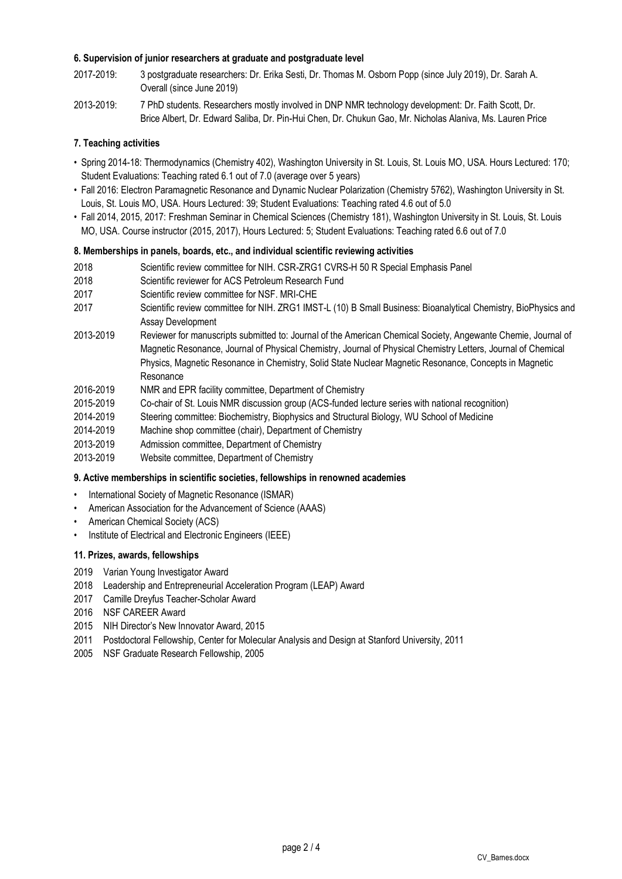### **6. Supervision of junior researchers at graduate and postgraduate level**

- 2017-2019: 3 postgraduate researchers: Dr. Erika Sesti, Dr. Thomas M. Osborn Popp (since July 2019), Dr. Sarah A. Overall (since June 2019)
- 2013-2019: 7 PhD students. Researchers mostly involved in DNP NMR technology development: Dr. Faith Scott, Dr. Brice Albert, Dr. Edward Saliba, Dr. Pin-Hui Chen, Dr. Chukun Gao, Mr. Nicholas Alaniva, Ms. Lauren Price

# **7. Teaching activities**

- Spring 2014-18: Thermodynamics (Chemistry 402), Washington University in St. Louis, St. Louis MO, USA. Hours Lectured: 170; Student Evaluations: Teaching rated 6.1 out of 7.0 (average over 5 years)
- Fall 2016: Electron Paramagnetic Resonance and Dynamic Nuclear Polarization (Chemistry 5762), Washington University in St. Louis, St. Louis MO, USA. Hours Lectured: 39; Student Evaluations: Teaching rated 4.6 out of 5.0
- Fall 2014, 2015, 2017: Freshman Seminar in Chemical Sciences (Chemistry 181), Washington University in St. Louis, St. Louis MO, USA. Course instructor (2015, 2017), Hours Lectured: 5; Student Evaluations: Teaching rated 6.6 out of 7.0

### **8. Memberships in panels, boards, etc., and individual scientific reviewing activities**

- 2018 Scientific review committee for NIH. CSR-ZRG1 CVRS-H 50 R Special Emphasis Panel
- 2018 Scientific reviewer for ACS Petroleum Research Fund
- 2017 Scientific review committee for NSF. MRI-CHE
- 2017 Scientific review committee for NIH. ZRG1 IMST-L (10) B Small Business: Bioanalytical Chemistry, BioPhysics and Assay Development
- 2013-2019 Reviewer for manuscripts submitted to: Journal of the American Chemical Society, Angewante Chemie, Journal of Magnetic Resonance, Journal of Physical Chemistry, Journal of Physical Chemistry Letters, Journal of Chemical Physics, Magnetic Resonance in Chemistry, Solid State Nuclear Magnetic Resonance, Concepts in Magnetic Resonance
- 2016-2019 NMR and EPR facility committee, Department of Chemistry
- 2015-2019 Co-chair of St. Louis NMR discussion group (ACS-funded lecture series with national recognition)
- 2014-2019 Steering committee: Biochemistry, Biophysics and Structural Biology, WU School of Medicine
- 2014-2019 Machine shop committee (chair), Department of Chemistry
- 2013-2019 Admission committee, Department of Chemistry
- 2013-2019 Website committee, Department of Chemistry

#### **9. Active memberships in scientific societies, fellowships in renowned academies**

- International Society of Magnetic Resonance (ISMAR)
- American Association for the Advancement of Science (AAAS)
- American Chemical Society (ACS)
- Institute of Electrical and Electronic Engineers (IEEE)

#### **11. Prizes, awards, fellowships**

- 2019 Varian Young Investigator Award
- 2018 Leadership and Entrepreneurial Acceleration Program (LEAP) Award
- 2017 Camille Dreyfus Teacher-Scholar Award
- 2016 NSF CAREER Award
- 2015 NIH Director's New Innovator Award, 2015
- 2011 Postdoctoral Fellowship, Center for Molecular Analysis and Design at Stanford University, 2011
- 2005 NSF Graduate Research Fellowship, 2005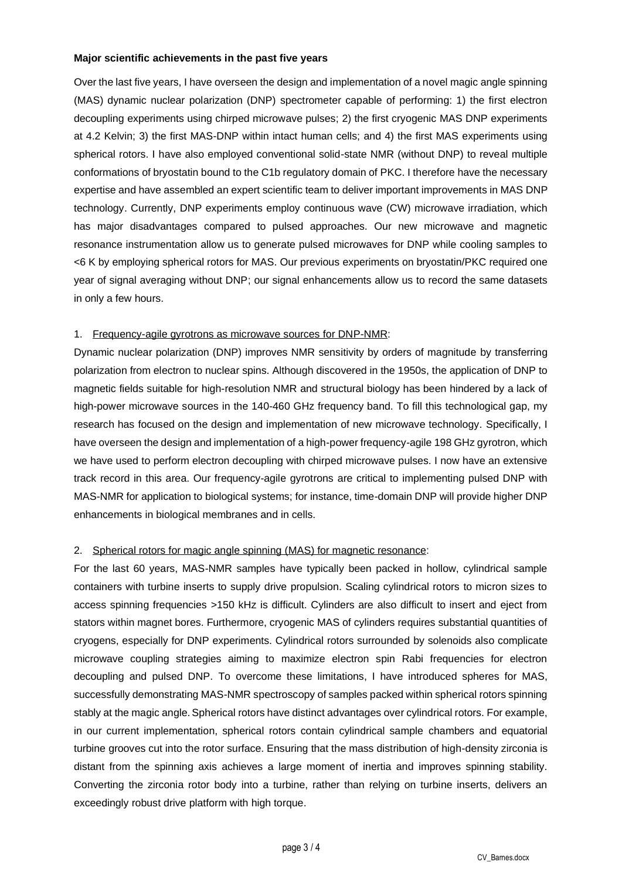### **Major scientific achievements in the past five years**

Over the last five years, I have overseen the design and implementation of a novel magic angle spinning (MAS) dynamic nuclear polarization (DNP) spectrometer capable of performing: 1) the first electron decoupling experiments using chirped microwave pulses; 2) the first cryogenic MAS DNP experiments at 4.2 Kelvin; 3) the first MAS-DNP within intact human cells; and 4) the first MAS experiments using spherical rotors. I have also employed conventional solid-state NMR (without DNP) to reveal multiple conformations of bryostatin bound to the C1b regulatory domain of PKC. I therefore have the necessary expertise and have assembled an expert scientific team to deliver important improvements in MAS DNP technology. Currently, DNP experiments employ continuous wave (CW) microwave irradiation, which has major disadvantages compared to pulsed approaches. Our new microwave and magnetic resonance instrumentation allow us to generate pulsed microwaves for DNP while cooling samples to <6 K by employing spherical rotors for MAS. Our previous experiments on bryostatin/PKC required one year of signal averaging without DNP; our signal enhancements allow us to record the same datasets in only a few hours.

# 1. Frequency-agile gyrotrons as microwave sources for DNP-NMR:

Dynamic nuclear polarization (DNP) improves NMR sensitivity by orders of magnitude by transferring polarization from electron to nuclear spins. Although discovered in the 1950s, the application of DNP to magnetic fields suitable for high-resolution NMR and structural biology has been hindered by a lack of high-power microwave sources in the 140-460 GHz frequency band. To fill this technological gap, my research has focused on the design and implementation of new microwave technology. Specifically, I have overseen the design and implementation of a high-power frequency-agile 198 GHz gyrotron, which we have used to perform electron decoupling with chirped microwave pulses. I now have an extensive track record in this area. Our frequency-agile gyrotrons are critical to implementing pulsed DNP with MAS-NMR for application to biological systems; for instance, time-domain DNP will provide higher DNP enhancements in biological membranes and in cells.

# 2. Spherical rotors for magic angle spinning (MAS) for magnetic resonance:

For the last 60 years, MAS-NMR samples have typically been packed in hollow, cylindrical sample containers with turbine inserts to supply drive propulsion. Scaling cylindrical rotors to micron sizes to access spinning frequencies >150 kHz is difficult. Cylinders are also difficult to insert and eject from stators within magnet bores. Furthermore, cryogenic MAS of cylinders requires substantial quantities of cryogens, especially for DNP experiments. Cylindrical rotors surrounded by solenoids also complicate microwave coupling strategies aiming to maximize electron spin Rabi frequencies for electron decoupling and pulsed DNP. To overcome these limitations, I have introduced spheres for MAS, successfully demonstrating MAS-NMR spectroscopy of samples packed within spherical rotors spinning stably at the magic angle. Spherical rotors have distinct advantages over cylindrical rotors. For example, in our current implementation, spherical rotors contain cylindrical sample chambers and equatorial turbine grooves cut into the rotor surface. Ensuring that the mass distribution of high-density zirconia is distant from the spinning axis achieves a large moment of inertia and improves spinning stability. Converting the zirconia rotor body into a turbine, rather than relying on turbine inserts, delivers an exceedingly robust drive platform with high torque.